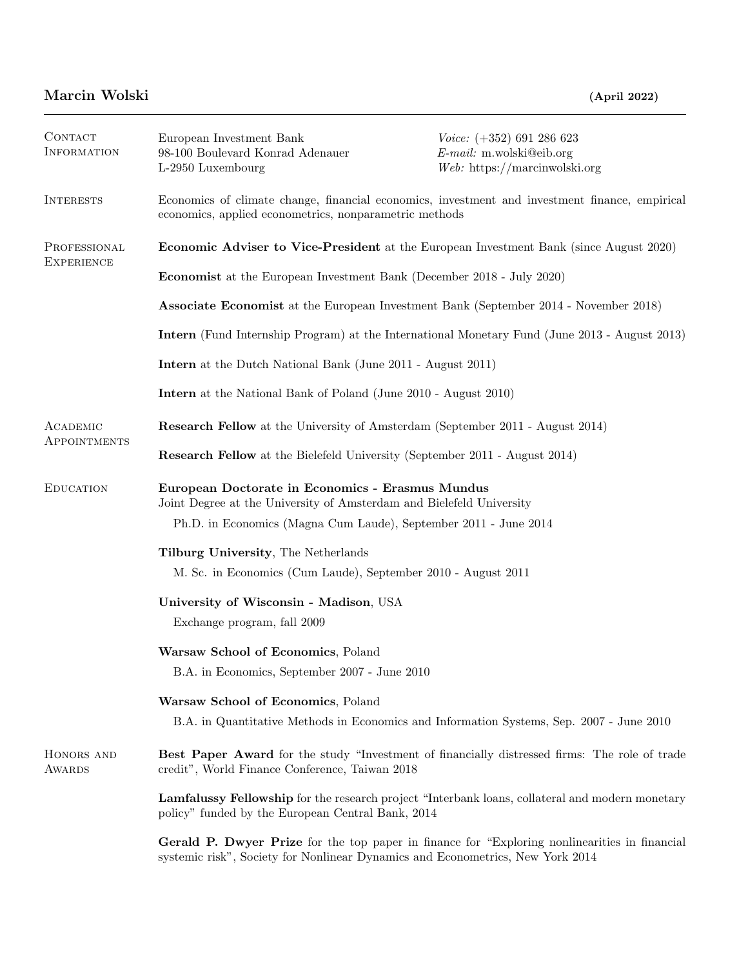| CONTACT<br><b>INFORMATION</b>     | European Investment Bank<br>98-100 Boulevard Konrad Adenauer<br>L-2950 Luxembourg                                                                        | $Voice: (+352) 691 286 623$<br>$E$ -mail: m.wolski@eib.org<br>$Web:$ https://marcinwolski.org |  |
|-----------------------------------|----------------------------------------------------------------------------------------------------------------------------------------------------------|-----------------------------------------------------------------------------------------------|--|
| <b>INTERESTS</b>                  | Economics of climate change, financial economics, investment and investment finance, empirical<br>economics, applied econometrics, nonparametric methods |                                                                                               |  |
| PROFESSIONAL<br><b>EXPERIENCE</b> | <b>Economic Adviser to Vice-President</b> at the European Investment Bank (since August 2020)                                                            |                                                                                               |  |
|                                   | <b>Economist</b> at the European Investment Bank (December 2018 - July 2020)                                                                             |                                                                                               |  |
|                                   | <b>Associate Economist</b> at the European Investment Bank (September 2014 - November 2018)                                                              |                                                                                               |  |
|                                   | <b>Intern</b> (Fund Internship Program) at the International Monetary Fund (June 2013 - August 2013)                                                     |                                                                                               |  |
|                                   | <b>Intern</b> at the Dutch National Bank (June 2011 - August 2011)                                                                                       |                                                                                               |  |
|                                   | <b>Intern</b> at the National Bank of Poland (June 2010 - August 2010)                                                                                   |                                                                                               |  |
| ACADEMIC                          | <b>Research Fellow</b> at the University of Amsterdam (September 2011 - August 2014)                                                                     |                                                                                               |  |
| APPOINTMENTS                      | <b>Research Fellow</b> at the Bielefeld University (September 2011 - August 2014)                                                                        |                                                                                               |  |
| <b>EDUCATION</b>                  | European Doctorate in Economics - Erasmus Mundus<br>Joint Degree at the University of Amsterdam and Bielefeld University                                 |                                                                                               |  |
|                                   | Ph.D. in Economics (Magna Cum Laude), September 2011 - June 2014                                                                                         |                                                                                               |  |
|                                   | Tilburg University, The Netherlands<br>M. Sc. in Economics (Cum Laude), September 2010 - August 2011                                                     |                                                                                               |  |
|                                   | University of Wisconsin - Madison, USA<br>Exchange program, fall 2009                                                                                    |                                                                                               |  |
|                                   | Warsaw School of Economics, Poland<br>B.A. in Economics, September 2007 - June 2010                                                                      |                                                                                               |  |
|                                   | Warsaw School of Economics, Poland<br>B.A. in Quantitative Methods in Economics and Information Systems, Sep. 2007 - June 2010                           |                                                                                               |  |
| HONORS AND<br>AWARDS              | Best Paper Award for the study "Investment of financially distressed firms: The role of trade<br>credit", World Finance Conference, Taiwan 2018          |                                                                                               |  |
|                                   | Lamfalussy Fellowship for the research project "Interbank loans, collateral and modern monetary<br>policy" funded by the European Central Bank, 2014     |                                                                                               |  |
|                                   | Gerald P. Dwyer Prize for the top paper in finance for "Exploring nonlinearities in financial                                                            |                                                                                               |  |

systemic risk", Society for Nonlinear Dynamics and Econometrics, New York 2014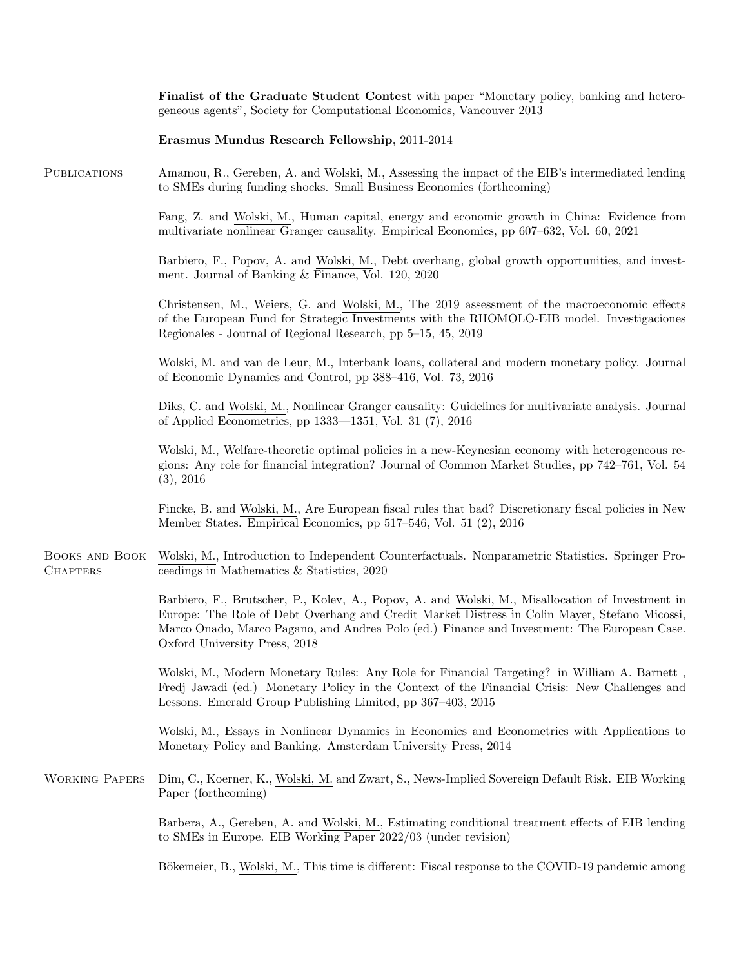|                                   | Finalist of the Graduate Student Contest with paper "Monetary policy, banking and hetero-<br>geneous agents", Society for Computational Economics, Vancouver 2013                                                                                                                                                                 |  |
|-----------------------------------|-----------------------------------------------------------------------------------------------------------------------------------------------------------------------------------------------------------------------------------------------------------------------------------------------------------------------------------|--|
|                                   | Erasmus Mundus Research Fellowship, 2011-2014                                                                                                                                                                                                                                                                                     |  |
| <b>PUBLICATIONS</b>               | Amamou, R., Gereben, A. and Wolski, M., Assessing the impact of the EIB's intermediated lending<br>to SMEs during funding shocks. Small Business Economics (forthcoming)                                                                                                                                                          |  |
|                                   | Fang, Z. and Wolski, M., Human capital, energy and economic growth in China: Evidence from<br>multivariate nonlinear Granger causality. Empirical Economics, pp 607–632, Vol. 60, 2021                                                                                                                                            |  |
|                                   | Barbiero, F., Popov, A. and Wolski, M., Debt overhang, global growth opportunities, and invest-<br>ment. Journal of Banking & Finance, Vol. 120, 2020                                                                                                                                                                             |  |
|                                   | Christensen, M., Weiers, G. and Wolski, M., The 2019 assessment of the macroeconomic effects<br>of the European Fund for Strategic Investments with the RHOMOLO-EIB model. Investigaciones<br>Regionales - Journal of Regional Research, pp 5–15, 45, 2019                                                                        |  |
|                                   | Wolski, M. and van de Leur, M., Interbank loans, collateral and modern monetary policy. Journal<br>of Economic Dynamics and Control, pp 388–416, Vol. 73, 2016                                                                                                                                                                    |  |
|                                   | Diks, C. and Wolski, M., Nonlinear Granger causality: Guidelines for multivariate analysis. Journal<br>of Applied Econometrics, pp 1333—1351, Vol. 31 (7), 2016                                                                                                                                                                   |  |
|                                   | Wolski, M., Welfare-theoretic optimal policies in a new-Keynesian economy with heterogeneous re-<br>gions: Any role for financial integration? Journal of Common Market Studies, pp 742–761, Vol. 54<br>(3), 2016                                                                                                                 |  |
|                                   | Fincke, B. and Wolski, M., Are European fiscal rules that bad? Discretionary fiscal policies in New<br>Member States. Empirical Economics, pp 517–546, Vol. 51 (2), 2016                                                                                                                                                          |  |
| BOOKS AND BOOK<br><b>CHAPTERS</b> | Wolski, M., Introduction to Independent Counterfactuals. Nonparametric Statistics. Springer Pro-<br>ceedings in Mathematics & Statistics, 2020                                                                                                                                                                                    |  |
|                                   | Barbiero, F., Brutscher, P., Kolev, A., Popov, A. and Wolski, M., Misallocation of Investment in<br>Europe: The Role of Debt Overhang and Credit Market Distress in Colin Mayer, Stefano Micossi,<br>Marco Onado, Marco Pagano, and Andrea Polo (ed.) Finance and Investment: The European Case.<br>Oxford University Press, 2018 |  |
|                                   | Wolski, M., Modern Monetary Rules: Any Role for Financial Targeting? in William A. Barnett,<br>Fredj Jawadi (ed.) Monetary Policy in the Context of the Financial Crisis: New Challenges and<br>Lessons. Emerald Group Publishing Limited, pp 367-403, 2015                                                                       |  |
|                                   | Wolski, M., Essays in Nonlinear Dynamics in Economics and Econometrics with Applications to<br>Monetary Policy and Banking. Amsterdam University Press, 2014                                                                                                                                                                      |  |
| <b>WORKING PAPERS</b>             | Dim, C., Koerner, K., Wolski, M. and Zwart, S., News-Implied Sovereign Default Risk. EIB Working<br>Paper (forthcoming)                                                                                                                                                                                                           |  |
|                                   | Barbera, A., Gereben, A. and Wolski, M., Estimating conditional treatment effects of EIB lending<br>to SMEs in Europe. EIB Working Paper 2022/03 (under revision)                                                                                                                                                                 |  |
|                                   | Bökemeier, B., Wolski, M., This time is different: Fiscal response to the COVID-19 pandemic among                                                                                                                                                                                                                                 |  |